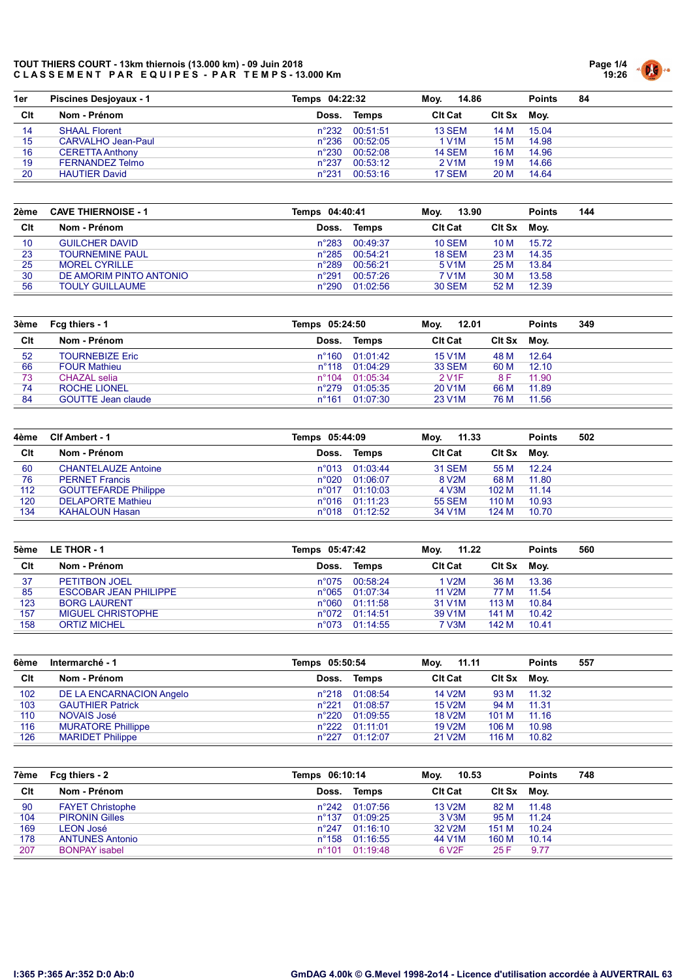

| 1er | <b>Piscines Desjoyaux - 1</b> | Temps 04:22:32 |          | 14.86<br>Mov.      |        | <b>Points</b> | 84 |
|-----|-------------------------------|----------------|----------|--------------------|--------|---------------|----|
| Clt | Nom - Prénom                  | Doss.          | Temps    | <b>CIt Cat</b>     | Clt Sx | Mov.          |    |
| 14  | <b>SHAAL Florent</b>          | n°232          | 00:51:51 | <b>13 SEM</b>      | 14 M   | 15.04         |    |
| 15  | CARVALHO Jean-Paul            | $n^{\circ}236$ | 00:52:05 | 1 V1M              | 15 M   | 14.98         |    |
| 16  | <b>CERETTA Anthony</b>        | $n^{\circ}230$ | 00:52:08 | <b>14 SEM</b>      | 16 M   | 14.96         |    |
| 19  | FERNANDEZ Telmo               | $n^{\circ}237$ | 00:53:12 | 2 V <sub>1</sub> M | 19 M   | 14.66         |    |
| 20  | <b>HAUTIER David</b>          | $n^{\circ}231$ | 00:53:16 | 17 SEM             | 20 M   | 14.64         |    |

| 2ème | <b>CAVE THIERNOISE - 1</b> | Temps 04:40:41 |          | 13.90<br>Moy.      |        | <b>Points</b> | 144 |
|------|----------------------------|----------------|----------|--------------------|--------|---------------|-----|
| Clt  | Nom - Prénom               | Doss.          | Temps    | <b>Clt Cat</b>     | Clt Sx | Mov.          |     |
| 10   | <b>GUILCHER DAVID</b>      | $n^{\circ}283$ | 00:49:37 | <b>10 SEM</b>      | 10 M   | 15.72         |     |
| 23   | <b>TOURNEMINE PAUL</b>     | $n^{\circ}285$ | 00:54:21 | <b>18 SEM</b>      | 23 M   | 14.35         |     |
| 25   | <b>MOREL CYRILLE</b>       | $n^{\circ}289$ | 00:56:21 | 5 V <sub>1</sub> M | 25 M   | 13.84         |     |
| 30   | DE AMORIM PINTO ANTONIO    | $n^{\circ}291$ | 00:57:26 | 7 V1M              | 30 M   | 13.58         |     |
| 56   | <b>TOULY GUILLAUME</b>     | $n^{\circ}290$ | 01:02:56 | <b>30 SEM</b>      | 52 M   | 12.39         |     |

| 3ème | Fcg thiers - 1            | Temps 05:24:50  |                         | 12.01<br>Mov.       |        | <b>Points</b> | 349 |
|------|---------------------------|-----------------|-------------------------|---------------------|--------|---------------|-----|
| Clt  | Nom - Prénom              | Doss.           | Temps                   | <b>Clt Cat</b>      | Clt Sx | Mov.          |     |
| 52   | <b>TOURNEBIZE Eric</b>    |                 | $n^{\circ}160$ 01:01:42 | <b>15 V1M</b>       | 48 M   | 12.64         |     |
| 66   | <b>FOUR Mathieu</b>       | $n^{\circ}$ 118 | 01:04:29                | <b>33 SEM</b>       | 60 M   | 12.10         |     |
| 73   | CHAZAL selia              | $n^{\circ}$ 104 | 01:05:34                | 2 V <sub>1</sub> F  | 8 F    | 11.90         |     |
| 74   | ROCHE LIONEL              | $n^{\circ}279$  | 01:05:35                | 20 V <sub>1</sub> M | 66 M   | 11.89         |     |
| 84   | <b>GOUTTE Jean claude</b> | $n^{\circ}161$  | 01:07:30                | 23 V <sub>1</sub> M | 76 M   | 11.56         |     |

| 4ème | Clf Ambert - 1              | Temps 05:44:09 |                         | 11.33<br>Mov.      |        | <b>Points</b> | 502 |
|------|-----------------------------|----------------|-------------------------|--------------------|--------|---------------|-----|
| Clt  | Nom - Prénom                | Doss.          | Temps                   | <b>CIt Cat</b>     | Clt Sx | Mov.          |     |
| 60   | <b>CHANTELAUZE Antoine</b>  | $n^{\circ}013$ | 01:03:44                | 31 SEM             | 55 M   | 12.24         |     |
| 76   | <b>PERNET Francis</b>       | $n^{\circ}020$ | 01:06:07                | 8 V <sub>2</sub> M | 68 M   | 11.80         |     |
| 112  | <b>GOUTTEFARDE Philippe</b> | $n^{\circ}017$ | 01:10:03                | 4 V3M              | 102 M  | 11.14         |     |
| 120  | <b>DELAPORTE Mathieu</b>    |                | n°016 01:11:23          | <b>55 SEM</b>      | 110 M  | 10.93         |     |
| 134  | <b>KAHALOUN Hasan</b>       |                | $n^{\circ}018$ 01:12:52 | 34 V1M             | 124 M  | 10.70         |     |

| 5ème | LE THOR - 1                  | Temps 05:47:42 |                         | 11.22<br>Mov.       |        | <b>Points</b> | 560 |
|------|------------------------------|----------------|-------------------------|---------------------|--------|---------------|-----|
| Clt  | Nom - Prénom                 | Doss.          | Temps                   | <b>CIt Cat</b>      | Clt Sx | Mov.          |     |
| 37   | <b>PETITBON JOEL</b>         |                | n°075 00:58:24          | 1 V2M               | 36 M   | 13.36         |     |
| 85   | <b>ESCOBAR JEAN PHILIPPE</b> |                | $n^{\circ}065$ 01:07:34 | 11 V <sub>2</sub> M | 77 M   | 11.54         |     |
| 123  | <b>BORG LAURENT</b>          |                | $n^{\circ}060$ 01:11:58 | 31 V <sub>1</sub> M | 113 M  | 10.84         |     |
| 157  | <b>MIGUEL CHRISTOPHE</b>     |                | n°072 01:14:51          | 39 V <sub>1</sub> M | 141 M  | 10.42         |     |
| 158  | <b>ORTIZ MICHEL</b>          | $n^{\circ}073$ | 01:14:55                | 7 V3M               | 142 M  | 10.41         |     |

| 6ème | Intermarché - 1           | Temps 05:50:54 |                         | 11.11<br>Moy.       |             | <b>Points</b> | 557 |
|------|---------------------------|----------------|-------------------------|---------------------|-------------|---------------|-----|
| Clt  | Nom - Prénom              | Doss.          | Temps                   | <b>CIt Cat</b>      | Cit Sx Moy. |               |     |
| 102  | DE LA ENCARNACION Angelo  |                | n°218 01:08:54          | 14 V2M              | 93 M        | 11.32         |     |
| 103  | <b>GAUTHIER Patrick</b>   | $n^{\circ}221$ | 01:08:57                | <b>15 V2M</b>       | 94 M        | 11.31         |     |
| 110  | NOVAIS José               | $n^{\circ}220$ | 01:09:55                | <b>18 V2M</b>       | 101 M       | 11.16         |     |
| 116  | <b>MURATORE Phillippe</b> |                | $n^{\circ}222$ 01:11:01 | <b>19 V2M</b>       | 106 M       | 10.98         |     |
| 126  | <b>MARIDET Philippe</b>   |                | n°227 01:12:07          | 21 V <sub>2</sub> M | 116 M       | 10.82         |     |

| 7ème | Fcg thiers - 2          | Temps 06:10:14  |                         | 10.53<br>Mov.       |             | <b>Points</b> | 748 |
|------|-------------------------|-----------------|-------------------------|---------------------|-------------|---------------|-----|
| Clt  | Nom - Prénom            | Doss.           | Temps                   | <b>Clt Cat</b>      | Cit Sx Moy. |               |     |
| 90   | <b>FAYET Christophe</b> |                 | $n^{\circ}242$ 01:07:56 | <b>13 V2M</b>       | 82 M        | - 11.48       |     |
| 104  | <b>PIRONIN Gilles</b>   | $n^{\circ}$ 137 | 01:09:25                | 3 V <sub>3</sub> M  | 95 M        | 11.24         |     |
| 169  | <b>LEON José</b>        | $n^{\circ}$ 247 | 01:16:10                | 32 V <sub>2</sub> M | 151 M       | 10.24         |     |
| 178  | <b>ANTUNES Antonio</b>  | $n^{\circ}$ 158 | 01:16:55                | 44 V1M              | 160 M       | 10.14         |     |
| 207  | <b>BONPAY isabel</b>    | $n^{\circ}101$  | 01:19:48                | 6 V <sub>2</sub> F  | 25 F        | 9.77          |     |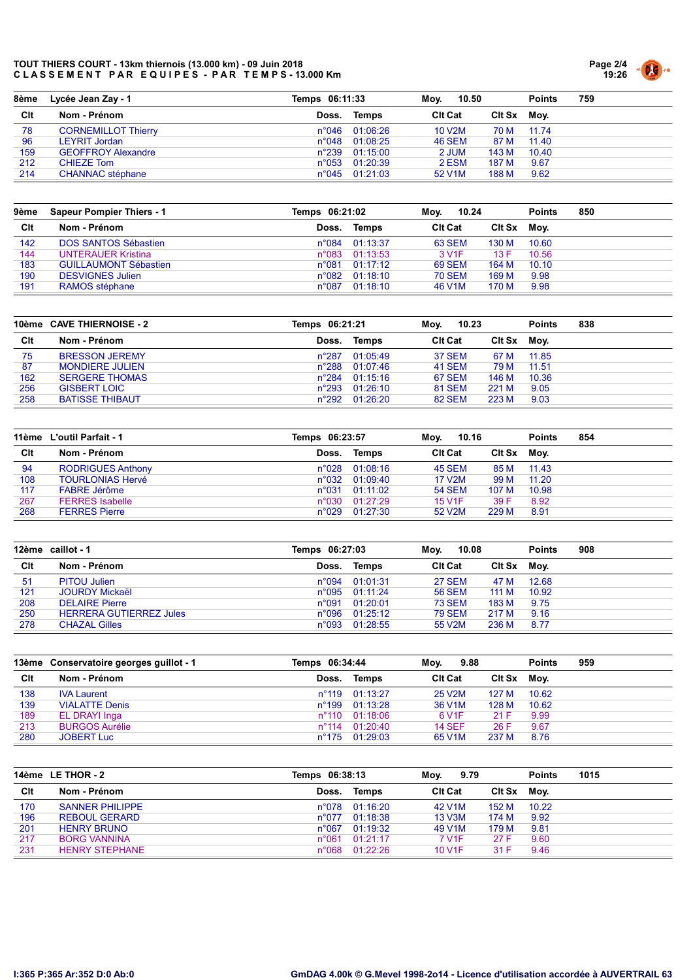

| 8ème | Lycée Jean Zay - 1         | Temps 06:11:33 |                | 10.50<br>Mov.       |             | <b>Points</b> | 759 |
|------|----------------------------|----------------|----------------|---------------------|-------------|---------------|-----|
| Clt  | Nom - Prénom               | Doss.          | Temps          | <b>CIt Cat</b>      | Cit Sx Moy. |               |     |
| 78   | <b>CORNEMILLOT Thierry</b> | $n^{\circ}046$ | 01:06:26       | 10 V <sub>2</sub> M | 70 M        | 11 74         |     |
| 96   | LEYRIT Jordan              | $n^{\circ}048$ | 01:08:25       | <b>46 SEM</b>       | 87 M        | 11.40         |     |
| 159  | <b>GEOFFROY Alexandre</b>  | $n^{\circ}239$ | 01:15:00       | 2 JUM               | 143 M       | 10.40         |     |
| 212  | <b>CHIEZE Tom</b>          | $n^{\circ}053$ | 01:20:39       | 2 ESM               | 187 M       | 9.67          |     |
| 214  | <b>CHANNAC</b> stéphane    |                | n°045 01:21:03 | 52 V <sub>1</sub> M | 188 M       | 9.62          |     |

| 9ème | <b>Sapeur Pompier Thiers - 1</b> | Temps 06:21:02 |          | 10.24<br>Mov.       |               | <b>Points</b> | 850 |
|------|----------------------------------|----------------|----------|---------------------|---------------|---------------|-----|
| Clt  | Nom - Prénom                     | Doss.          | Temps    | <b>CIt Cat</b>      | <b>CIt Sx</b> | Mov.          |     |
| 142  | DOS SANTOS Sébastien             | $n^{\circ}084$ | 01:13:37 | 63 SEM              | 130 M         | 10.60         |     |
| 144  | <b>UNTERAUER Kristina</b>        | $n^{\circ}083$ | 01:13:53 | 3 V <sub>1</sub> F  | 13 F          | 10.56         |     |
| 183  | <b>GUILLAUMONT Sébastien</b>     | $n^{\circ}081$ | 01:17:12 | 69 SEM              | 164 M         | 10.10         |     |
| 190  | <b>DESVIGNES Julien</b>          | n°082          | 01:18:10 | <b>70 SEM</b>       | 169 M         | 9.98          |     |
| 191  | RAMOS stéphane                   | $n^{\circ}087$ | 01:18:10 | 46 V <sub>1</sub> M | 170 M         | 9.98          |     |

|     | 10ème CAVE THIERNOISE - 2 | Temps 06:21:21 |                         | 10.23<br>Mov.  |             | <b>Points</b> | 838 |
|-----|---------------------------|----------------|-------------------------|----------------|-------------|---------------|-----|
| Clt | Nom - Prénom              | Doss.          | Temps                   | <b>CIt Cat</b> | Cit Sx Moy. |               |     |
| 75  | <b>BRESSON JEREMY</b>     | n°287          | 01:05:49                | <b>37 SEM</b>  | 67 M        | 11.85         |     |
| 87  | <b>MONDIERE JULIEN</b>    | $n^{\circ}288$ | 01:07:46                | 41 SEM         | 79 M        | 11.51         |     |
| 162 | <b>SERGERE THOMAS</b>     |                | $n^{\circ}284$ 01:15:16 | 67 SEM         | 146 M       | 10.36         |     |
| 256 | <b>GISBERT LOIC</b>       | $n^{\circ}293$ | 01:26:10                | <b>81 SEM</b>  | 221 M       | 9.05          |     |
| 258 | <b>BATISSE THIBAUT</b>    | $n^{\circ}292$ | 01:26:20                | 82 SEM         | 223 M       | 9.03          |     |
|     |                           |                |                         |                |             |               |     |

|     | 11ème L'outil Parfait - 1 | Temps 06:23:57 |                         | 10.16<br>Moy.  |        | <b>Points</b> | 854 |
|-----|---------------------------|----------------|-------------------------|----------------|--------|---------------|-----|
| Clt | Nom - Prénom              | Doss.          | Temps                   | <b>CIt Cat</b> | Clt Sx | Mov.          |     |
| 94  | <b>RODRIGUES Anthony</b>  |                | $n^{\circ}028$ 01:08:16 | 45 SEM         | 85 M   | 11.43         |     |
| 108 | <b>TOURLONIAS Hervé</b>   |                | $n^{\circ}032$ 01:09:40 | 17 V2M         | 99 M   | 11.20         |     |
| 117 | FABRE Jérôme              | $n^{\circ}031$ | 01:11:02                | <b>54 SEM</b>  | 107 M  | 10.98         |     |
| 267 | <b>FERRES</b> Isabelle    | $n^{\circ}030$ | 01:27:29                | <b>15 V1F</b>  | 39 F   | 8.92          |     |
| 268 | <b>FERRES Pierre</b>      | $n^{\circ}029$ | 01:27:30                | 52 V2M         | 229 M  | 8.91          |     |

|     | 12ème caillot - 1              | Temps 06:27:03 |                         | 10.08<br>Mov.  |             | <b>Points</b> | 908 |
|-----|--------------------------------|----------------|-------------------------|----------------|-------------|---------------|-----|
| Clt | Nom - Prénom                   | Doss.          | Temps                   | <b>CIt Cat</b> | Cit Sx Moy. |               |     |
| 51  | <b>PITOU Julien</b>            |                | n°094 01:01:31          | <b>27 SEM</b>  | 47 M        | 12.68         |     |
| 121 | <b>JOURDY Mickaël</b>          |                | $n^{\circ}095$ 01:11:24 | 56 SEM         | 111 M       | 10.92         |     |
| 208 | <b>DELAIRE</b> Pierre          | $n^{\circ}091$ | 01:20:01                | <b>73 SEM</b>  | 183 M       | 9.75          |     |
| 250 | <b>HERRERA GUTIERREZ Jules</b> |                | $n^{\circ}096$ 01:25:12 | <b>79 SEM</b>  | 217 M       | 9.16          |     |
| 278 | <b>CHAZAL Gilles</b>           |                | n°093 01:28:55          | 55 V2M         | 236 M       | 8.77          |     |

|     | 13ème Conservatoire georges guillot - 1 | Temps 06:34:44 |                         | 9.88<br>Mov.        |             | <b>Points</b> | 959 |
|-----|-----------------------------------------|----------------|-------------------------|---------------------|-------------|---------------|-----|
| Clt | Nom - Prénom                            | Doss.          | Temps                   | <b>CIt Cat</b>      | Cit Sx Moy. |               |     |
| 138 | <b>IVA Laurent</b>                      |                | n°119 01:13:27          | 25 V <sub>2</sub> M | 127 M       | 10.62         |     |
| 139 | <b>VIALATTE Denis</b>                   |                | n°199 01:13:28          | 36 V <sub>1</sub> M | 128 M       | 10.62         |     |
| 189 | EL DRAYI Inga                           |                | $n^{\circ}110$ 01:18:06 | 6 V <sub>1</sub> F  | 21 F        | 9.99          |     |
| 213 | <b>BURGOS Aurélie</b>                   |                | $n^{\circ}114$ 01:20:40 | <b>14 SEF</b>       | 26 F        | 9.67          |     |
| 280 | <b>JOBERT Luc</b>                       |                | n°175 01:29:03          | 65 V <sub>1</sub> M | 237 M       | 8.76          |     |

|     | 14ème LE THOR - 2      | Temps 06:38:13 |                         | 9.79<br>Mov.        |             | <b>Points</b> | 1015 |
|-----|------------------------|----------------|-------------------------|---------------------|-------------|---------------|------|
| Clt | Nom - Prénom           | Doss.          | Temps                   | <b>CIt Cat</b>      | Cit Sx Moy. |               |      |
| 170 | <b>SANNER PHILIPPE</b> |                | $n^{\circ}078$ 01:16:20 | 42 V1M              | 152 M       | 10.22         |      |
| 196 | <b>REBOUL GERARD</b>   | $n^{\circ}077$ | 01:18:38                | <b>13 V3M</b>       | 174 M       | 9.92          |      |
| 201 | <b>HENRY BRUNO</b>     | $n^{\circ}067$ | 01:19:32                | 49 V <sub>1</sub> M | 179 M       | 9.81          |      |
| 217 | <b>BORG VANNINA</b>    | $n^{\circ}061$ | 01:21:17                | 7 V <sub>1</sub> F  | 27 F        | 9.60          |      |
| 231 | <b>HENRY STEPHANE</b>  | n°068          | 01:22:26                | 10 V <sub>1</sub> F | 31 F        | 9.46          |      |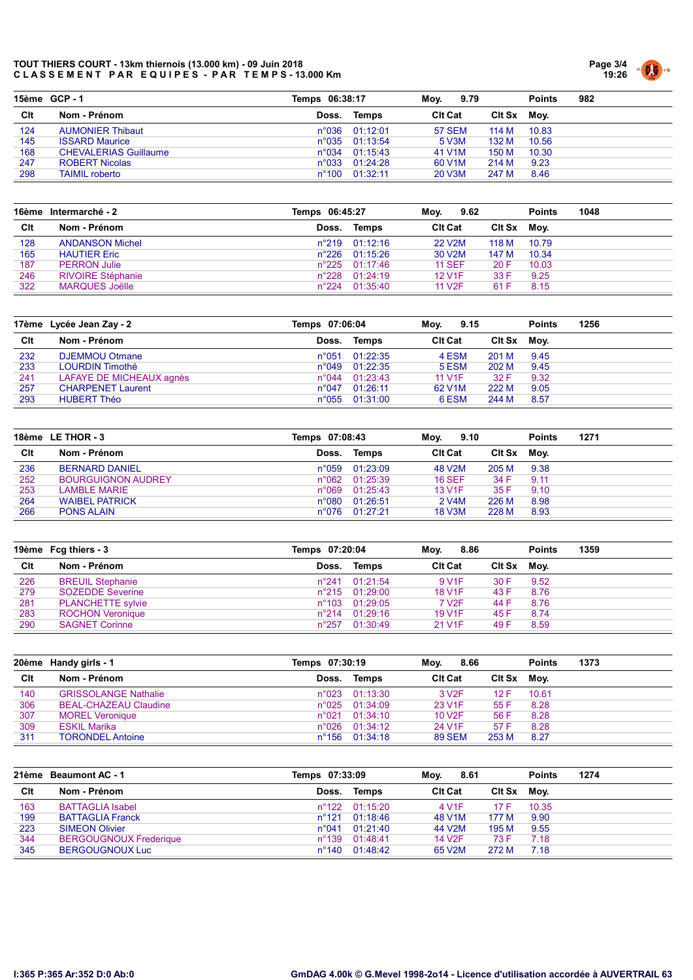

|     | 15ème GCP-1                  | Temps 06:38:17 |                           | Mov.<br>9.79        |        | <b>Points</b> | 982 |
|-----|------------------------------|----------------|---------------------------|---------------------|--------|---------------|-----|
| Clt | Nom - Prénom                 | Doss.          | Temps                     | <b>CIt Cat</b>      | Clt Sx | Mov.          |     |
| 124 | <b>AUMONIER Thibaut</b>      |                | $n^{\circ}036$ $01:12:01$ | <b>57 SEM</b>       | 114 M  | 10.83         |     |
| 145 | <b>ISSARD Maurice</b>        |                | $n^{\circ}$ 035 01:13:54  | 5 V3M               | 132 M  | 10.56         |     |
| 168 | <b>CHEVALERIAS Guillaume</b> |                | $n^{\circ}034$ 01:15:43   | 41 V1M              | 150 M  | 10.30         |     |
| 247 | <b>ROBERT Nicolas</b>        |                | n°033 01:24:28            | 60 V <sub>1</sub> M | 214 M  | 9.23          |     |
| 298 | <b>TAIMIL</b> roberto        |                | n°100 01:32:11            | 20 V3M              | 247 M  | 8.46          |     |

|     | 16ème Intermarché - 2    | Temps 06:45:27 |                         | 9.62<br>Mov.        |               | <b>Points</b> | 1048 |
|-----|--------------------------|----------------|-------------------------|---------------------|---------------|---------------|------|
| Clt | Nom - Prénom             | Doss.          | Temps                   | <b>Cit Cat</b>      | <b>CIt Sx</b> | Mov.          |      |
| 128 | <b>ANDANSON Michel</b>   |                | $n^{\circ}219$ 01:12:16 | 22 V <sub>2</sub> M | 118 M         | 10.79         |      |
| 165 | <b>HAUTIER Eric</b>      | $n^{\circ}226$ | 01:15:26                | 30 V2M              | 147 M         | 10.34         |      |
| 187 | <b>PERRON Julie</b>      | $n^{\circ}225$ | 01:17:46                | <b>11 SEF</b>       | 20 F          | 10.03         |      |
| 246 | <b>RIVOIRE Stéphanie</b> | $n^{\circ}228$ | 01:24:19                | <b>12 V1F</b>       | 33 F          | 9.25          |      |
| 322 | <b>MARQUES Joëlle</b>    | $n^{\circ}224$ | 01:35:40                | 11 V <sub>2</sub> F | 61 F          | 8.15          |      |

|     | 17ème Lycée Jean Zay - 2 | Temps 07:06:04 |                         | 9.15<br>Mov.        |             | <b>Points</b> | 1256 |  |
|-----|--------------------------|----------------|-------------------------|---------------------|-------------|---------------|------|--|
| Clt | Nom - Prénom             | Doss.          | Temps                   | <b>Cit Cat</b>      | Cit Sx Moy. |               |      |  |
| 232 | <b>DJEMMOU Otmane</b>    | $n^{\circ}051$ | 01:22:35                | 4 ESM               | 201 M       | 9.45          |      |  |
| 233 | LOURDIN Timothé          |                | $n^{\circ}049$ 01:22:35 | 5 ESM               | 202 M       | 9.45          |      |  |
| 241 | LAFAYE DE MICHEAUX agnès |                | $n^{\circ}044$ 01:23:43 | <b>11 V1F</b>       | 32 F        | 9.32          |      |  |
| 257 | <b>CHARPENET Laurent</b> | $n^{\circ}047$ | 01:26:11                | 62 V <sub>1</sub> M | 222 M       | 9.05          |      |  |
| 293 | <b>HUBERT Théo</b>       |                | n°055 01:31:00          | 6 ESM               | 244 M       | 8.57          |      |  |

| 18ème LE THOR - 3 |                           |       | Temps 07:08:43          |                    | 9.10<br>Mov. |      | 1271 |
|-------------------|---------------------------|-------|-------------------------|--------------------|--------------|------|------|
| Clt               | Nom - Prénom              | Doss. | Temps                   | <b>CIt Cat</b>     | Clt Sx       | Moy. |      |
| 236               | <b>BERNARD DANIEL</b>     |       | n°059 01:23:09          | 48 V2M             | 205 M        | 9.38 |      |
| 252               | <b>BOURGUIGNON AUDREY</b> |       | $n^{\circ}062$ 01:25:39 | <b>16 SEF</b>      | 34 F         | 9.11 |      |
| 253               | <b>LAMBLE MARIE</b>       |       | n°069 01:25:43          | <b>13 V1F</b>      | 35 F         | 9.10 |      |
| 264               | <b>WAIBEL PATRICK</b>     |       | n°080 01:26:51          | 2 V <sub>4</sub> M | 226 M        | 8.98 |      |
| 266               | <b>PONS ALAIN</b>         |       | n°076 01:27:21          | <b>18 V3M</b>      | 228 M        | 8.93 |      |

|            | 19ème Fcg thiers - 3                               | Temps 07:20:04  |                                     | 8.86<br>Mov.                         |              | <b>Points</b> | 1359 |
|------------|----------------------------------------------------|-----------------|-------------------------------------|--------------------------------------|--------------|---------------|------|
| Clt        | Nom - Prénom                                       | Doss.           | Temps                               | <b>CIt Cat</b>                       | Clt Sx       | Mov.          |      |
| 226<br>279 | <b>BREUIL Stephanie</b><br><b>SOZEDDE Severine</b> | $n^{\circ}$ 241 | 01:21:54<br>$n^{\circ}215$ 01:29:00 | 9 V <sub>1</sub> F<br><b>18 V1F</b>  | 30 F<br>43 F | 9.52<br>8.76  |      |
| 281        | <b>PLANCHETTE sylvie</b>                           |                 | n°103 01:29:05                      | 7 V <sub>2</sub> F                   | 44 F         | 8.76          |      |
| 283<br>290 | <b>ROCHON Veronique</b><br><b>SAGNET Corinne</b>   | $n^{\circ}257$  | $n^{\circ}214$ 01:29:16<br>01:30:49 | <b>19 V1F</b><br>21 V <sub>1</sub> F | 45 F<br>49 F | 8.74<br>8.59  |      |

|     | 20ème Handy girls - 1        | Temps 07:30:19 |                         | 8.66<br>Mov.        |             | <b>Points</b> | 1373 |
|-----|------------------------------|----------------|-------------------------|---------------------|-------------|---------------|------|
| Clt | Nom - Prénom                 | Doss.          | Temps                   | <b>CIt Cat</b>      | Cit Sx Moy. |               |      |
| 140 | <b>GRISSOLANGE Nathalie</b>  |                | n°023 01:13:30          | 3 V <sub>2</sub> F  | 12 F        | 10.61         |      |
| 306 | <b>BEAL-CHAZEAU Claudine</b> |                | $n^{\circ}025$ 01:34:09 | 23 V <sub>1</sub> F | 55 F        | 8.28          |      |
| 307 | <b>MOREL Veronique</b>       | $n^{\circ}021$ | 01:34:10                | 10 V <sub>2</sub> F | 56 F        | 8.28          |      |
| 309 | <b>ESKIL Marika</b>          |                | n°026 01:34:12          | 24 V1F              | 57 F        | 8.28          |      |
| 311 | <b>TORONDEL Antoine</b>      |                | n°156 01:34:18          | <b>89 SEM</b>       | 253 M       | 8.27          |      |

|     | 21ème Beaumont AC - 1         | Temps 07:33:09  |                         | 8.61<br>Mov.        |             | <b>Points</b> | 1274 |
|-----|-------------------------------|-----------------|-------------------------|---------------------|-------------|---------------|------|
| Clt | Nom - Prénom                  | Doss.           | Temps                   | <b>CIt Cat</b>      | Cit Sx Moy. |               |      |
| 163 | <b>BATTAGLIA Isabel</b>       |                 | $n^{\circ}122$ 01:15:20 | 4 V <sub>1</sub> F  |             | 10.35         |      |
| 199 | <b>BATTAGLIA Franck</b>       |                 | $n^{\circ}121$ 01:18:46 | 48 V1M              | 177 M       | 9.90          |      |
| 223 | <b>SIMEON Olivier</b>         | $n^{\circ}041$  | 01:21:40                | 44 V <sub>2</sub> M | 195 M       | 9.55          |      |
| 344 | <b>BERGOUGNOUX Frederique</b> | $n^{\circ}$ 139 | 01:48:41                | <b>14 V2F</b>       | 73 F        | 7.18          |      |
| 345 | <b>BERGOUGNOUX Luc</b>        | $n^{\circ}$ 140 | 01:48:42                | 65 V2M              | 272 M       | 7.18          |      |